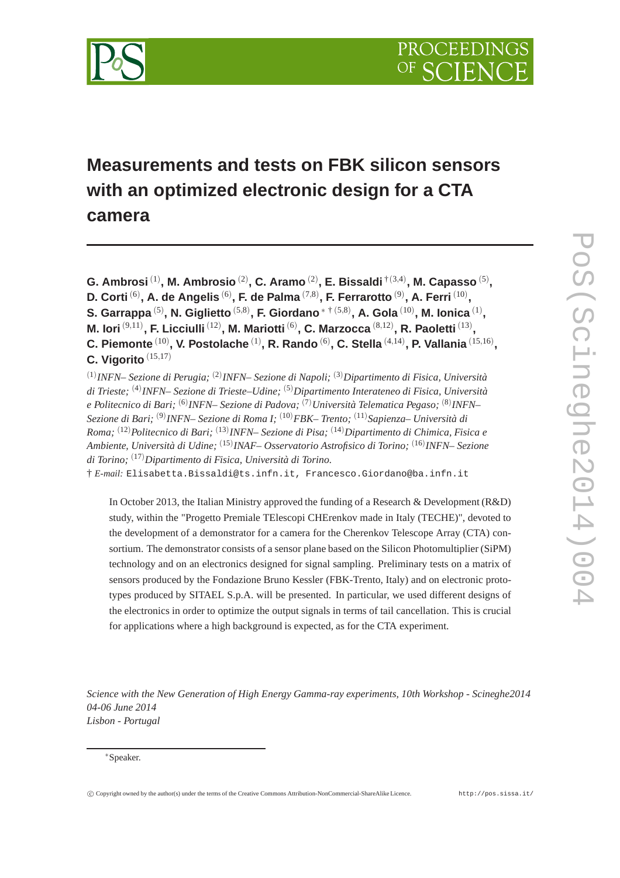

# **Measurements and tests on FBK silicon sensors with an optimized electronic design for a CTA camera**

**G. Ambrosi** (1) **, M. Ambrosio** (2) **, C. Aramo** (2) **, E. Bissaldi** †(3,4) **, M. Capasso** (5) **, D. Corti** (6) **, A. de Angelis** (6) **, F. de Palma** (7,8) **, F. Ferrarotto** (9) **, A. Ferri** (10) **, S. Garrappa** (5) **, N. Giglietto** (5,8) **, F. Giordano**<sup>∗</sup> † (5,8) **, A. Gola** (10) **, M. Ionica** (1) **, M. Iori**  $^{(9,11)}$ , **F. Licciulli**  $^{(12)}$ , **M. Mariotti**  $^{(6)}$ , **C. Marzocca**  $^{(8,12)}$ , **R. Paoletti**  $^{(13)}$ , C. Piemonte  $^{(10)}$ , V. Postolache  $^{(1)}$ , R. Rando  $^{(6)}$ , C. Stella  $^{(4,14)}$ , P. Vallania  $^{(15,16)}$ , **C. Vigorito** (15,17) (1) *INFN– Sezione di Perugia;* (2) *INFN– Sezione di Napoli;* (3)*Dipartimento di Fisica, Università di Trieste;* (4) *INFN– Sezione di Trieste–Udine;* (5)*Dipartimento Interateneo di Fisica, Università*

*e Politecnico di Bari;* (6) *INFN– Sezione di Padova;* (7)*Università Telematica Pegaso;* (8) *INFN– Sezione di Bari;* (9) *INFN– Sezione di Roma I;* (10)*FBK– Trento;* (11)*Sapienza– Università di Roma;* (12)*Politecnico di Bari;* (13) *INFN– Sezione di Pisa;* (14)*Dipartimento di Chimica, Fisica e Ambiente, Università di Udine;* (15) *INAF– Osservatorio Astrofisico di Torino;* (16) *INFN– Sezione di Torino;* (17)*Dipartimento di Fisica, Università di Torino.*

† *E-mail:* Elisabetta.Bissaldi@ts.infn.it, Francesco.Giordano@ba.infn.it

In October 2013, the Italian Ministry approved the funding of a Research & Development (R&D) study, within the "Progetto Premiale TElescopi CHErenkov made in Italy (TECHE)", devoted to the development of a demonstrator for a camera for the Cherenkov Telescope Array (CTA) consortium. The demonstrator consists of a sensor plane based on the Silicon Photomultiplier (SiPM) technology and on an electronics designed for signal sampling. Preliminary tests on a matrix of sensors produced by the Fondazione Bruno Kessler (FBK-Trento, Italy) and on electronic prototypes produced by SITAEL S.p.A. will be presented. In particular, we used different designs of the electronics in order to optimize the output signals in terms of tail cancellation. This is crucial for applications where a high background is expected, as for the CTA experiment.

*Science with the New Generation of High Energy Gamma-ray experiments, 10th Workshop - Scineghe2014 04-06 June 2014 Lisbon - Portugal*

<sup>∗</sup>Speaker.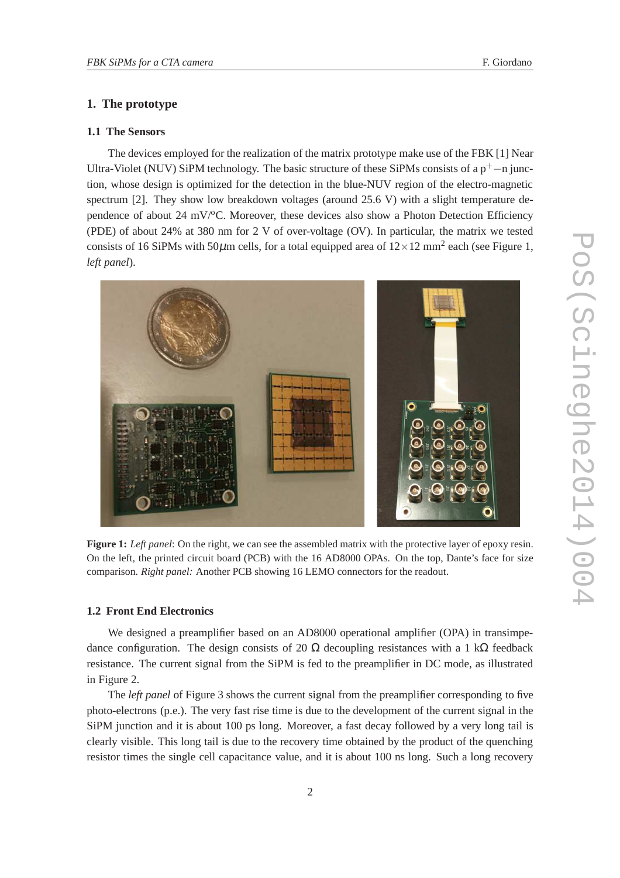## **1. The prototype**

#### **1.1 The Sensors**

The devices employed for the realization of the matrix prototype make use of the FBK [1] Near Ultra-Violet (NUV) SiPM technology. The basic structure of these SiPMs consists of a  $p^+$ −n junction, whose design is optimized for the detection in the blue-NUV region of the electro-magnetic spectrum [2]. They show low breakdown voltages (around 25.6 V) with a slight temperature dependence of about 24 mV/ $\rm{^{\circ}C}$ . Moreover, these devices also show a Photon Detection Efficiency (PDE) of about 24% at 380 nm for 2 V of over-voltage (OV). In particular, the matrix we tested consists of 16 SiPMs with 50 $\mu$ m cells, for a total equipped area of  $12 \times 12$  mm<sup>2</sup> each (see Figure 1, *left panel*).



**Figure 1:** *Left panel*: On the right, we can see the assembled matrix with the protective layer of epoxy resin. On the left, the printed circuit board (PCB) with the 16 AD8000 OPAs. On the top, Dante's face for size comparison. *Right panel:* Another PCB showing 16 LEMO connectors for the readout.

#### **1.2 Front End Electronics**

We designed a preamplifier based on an AD8000 operational amplifier (OPA) in transimpedance configuration. The design consists of 20  $\Omega$  decoupling resistances with a 1 k $\Omega$  feedback resistance. The current signal from the SiPM is fed to the preamplifier in DC mode, as illustrated in Figure 2.

The *left panel* of Figure 3 shows the current signal from the preamplifier corresponding to five photo-electrons (p.e.). The very fast rise time is due to the development of the current signal in the SiPM junction and it is about 100 ps long. Moreover, a fast decay followed by a very long tail is clearly visible. This long tail is due to the recovery time obtained by the product of the quenching resistor times the single cell capacitance value, and it is about 100 ns long. Such a long recovery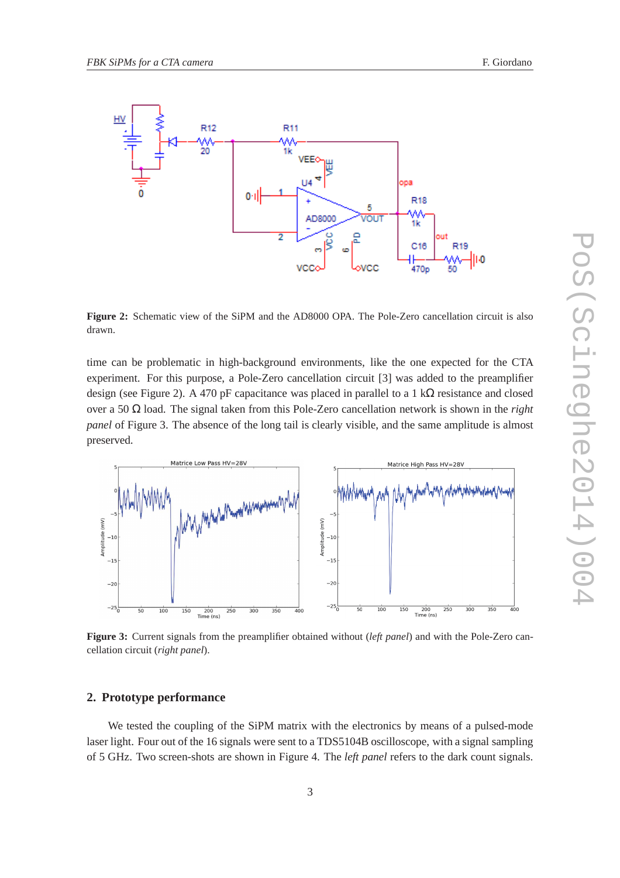

**Figure 2:** Schematic view of the SiPM and the AD8000 OPA. The Pole-Zero cancellation circuit is also drawn.

time can be problematic in high-background environments, like the one expected for the CTA experiment. For this purpose, a Pole-Zero cancellation circuit [3] was added to the preamplifier design (see Figure 2). A 470 pF capacitance was placed in parallel to a 1 k $\Omega$  resistance and closed over a 50 Ω load. The signal taken from this Pole-Zero cancellation network is shown in the *right panel* of Figure 3. The absence of the long tail is clearly visible, and the same amplitude is almost preserved.



**Figure 3:** Current signals from the preamplifier obtained without (*left panel*) and with the Pole-Zero cancellation circuit (*right panel*).

#### **2. Prototype performance**

We tested the coupling of the SiPM matrix with the electronics by means of a pulsed-mode laser light. Four out of the 16 signals were sent to a TDS5104B oscilloscope, with a signal sampling of 5 GHz. Two screen-shots are shown in Figure 4. The *left panel* refers to the dark count signals.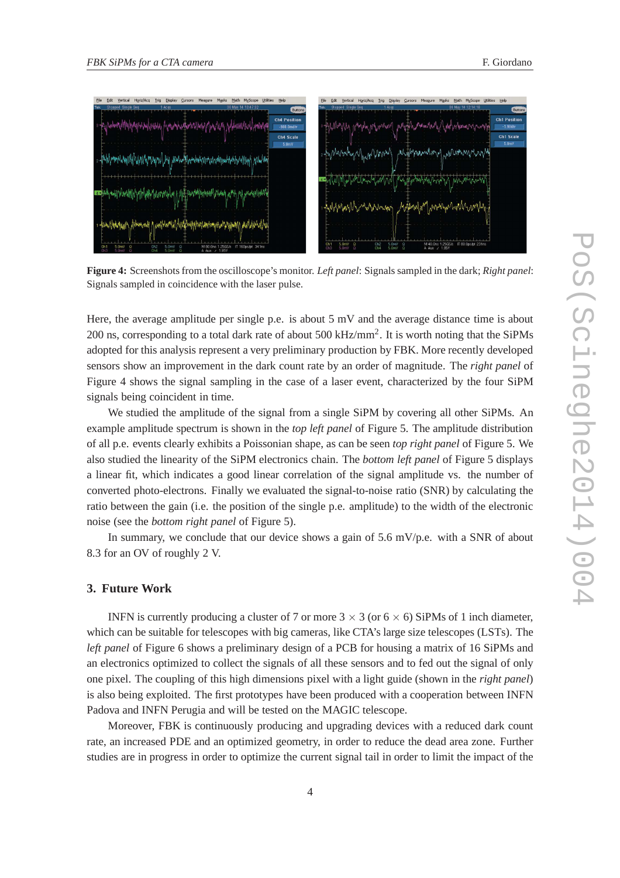

**Figure 4:** Screenshots from the oscilloscope's monitor. *Left panel*: Signals sampled in the dark; *Right panel*: Signals sampled in coincidence with the laser pulse.

Here, the average amplitude per single p.e. is about 5 mV and the average distance time is about 200 ns, corresponding to a total dark rate of about 500 kHz/mm<sup>2</sup>. It is worth noting that the SiPMs adopted for this analysis represent a very preliminary production by FBK. More recently developed sensors show an improvement in the dark count rate by an order of magnitude. The *right panel* of Figure 4 shows the signal sampling in the case of a laser event, characterized by the four SiPM signals being coincident in time.

We studied the amplitude of the signal from a single SiPM by covering all other SiPMs. An example amplitude spectrum is shown in the *top left panel* of Figure 5. The amplitude distribution of all p.e. events clearly exhibits a Poissonian shape, as can be seen *top right panel* of Figure 5. We also studied the linearity of the SiPM electronics chain. The *bottom left panel* of Figure 5 displays a linear fit, which indicates a good linear correlation of the signal amplitude vs. the number of converted photo-electrons. Finally we evaluated the signal-to-noise ratio (SNR) by calculating the ratio between the gain (i.e. the position of the single p.e. amplitude) to the width of the electronic noise (see the *bottom right panel* of Figure 5).

In summary, we conclude that our device shows a gain of 5.6 mV/p.e. with a SNR of about 8.3 for an OV of roughly 2 V.

# **3. Future Work**

INFN is currently producing a cluster of 7 or more  $3 \times 3$  (or  $6 \times 6$ ) SiPMs of 1 inch diameter, which can be suitable for telescopes with big cameras, like CTA's large size telescopes (LSTs). The *left panel* of Figure 6 shows a preliminary design of a PCB for housing a matrix of 16 SiPMs and an electronics optimized to collect the signals of all these sensors and to fed out the signal of only one pixel. The coupling of this high dimensions pixel with a light guide (shown in the *right panel*) is also being exploited. The first prototypes have been produced with a cooperation between INFN Padova and INFN Perugia and will be tested on the MAGIC telescope.

Moreover, FBK is continuously producing and upgrading devices with a reduced dark count rate, an increased PDE and an optimized geometry, in order to reduce the dead area zone. Further studies are in progress in order to optimize the current signal tail in order to limit the impact of the